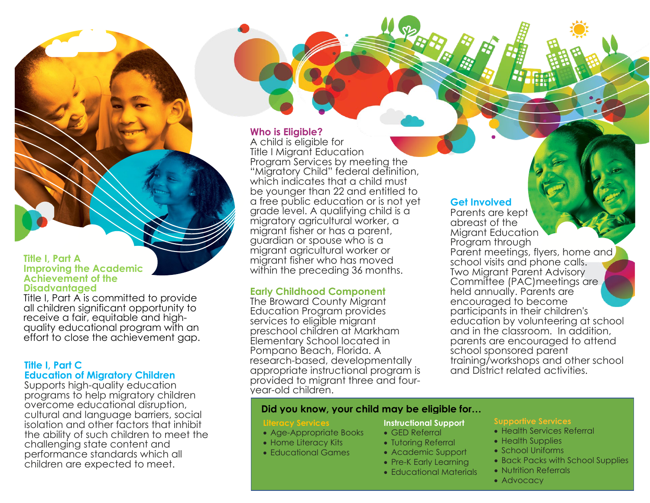#### **Title I, Part A Improving the Academic Achievement of the Disadvantaged**

Title I, Part A is committed to provide all children significant opportunity to receive a fair, equitable and highquality educational program with an effort to close the achievement gap.

#### **Title I, Part C Education of Migratory Children**

Supports high-quality education programs to help migratory children overcome educational disruption, cultural and language barriers, social isolation and other factors that inhibit the ability of such children to meet the challenging state content and performance standards which all children are expected to meet.

#### **Who is Eligible?**

A child is eligible for Title I Migrant Education Program Services by meeting the "Migratory Child" federal definition, which indicates that a child must be younger than 22 and entitled to a free public education or is not yet grade level. A qualifying child is a migratory agricultural worker, a migrant fisher or has a parent, guardian or spouse who is a migrant agricultural worker or migrant fisher who has moved within the preceding 36 months.

# **Early Childhood Component**

The Broward County Migrant Education Program provides services to eligible migrant preschool children at Markham Elementary School located in Pompano Beach, Florida. A research-based, developmentally appropriate instructional program is provided to migrant three and fouryear-old children.

# **Get Involved**

Parents are kept abreast of the Migrant Education Program through Parent meetings, flyers, home and school visits and phone calls. Two Migrant Parent Advisory Committee (PAC)meetings are held annually. Parents are encouraged to become participants in their children's education by volunteering at school and in the classroom. In addition, parents are encouraged to attend school sponsored parent training/workshops and other school and District related activities.

### **Did you know, your child may be eligible for…**

#### **Literacy Servi**

- Age-Appropriate Books
- Home Literacy Kits
- Educational Games

## **Instructional Support**

- GED Referral
- Tutoring Referral
- Academic Support
- Pre-K Early Learning
- Educational Materials

- Health Services Referral
- Health Supplies
	- School Uniforms
	- Back Packs with School Supplies
	- Nutrition Referrals
	- Advocacy